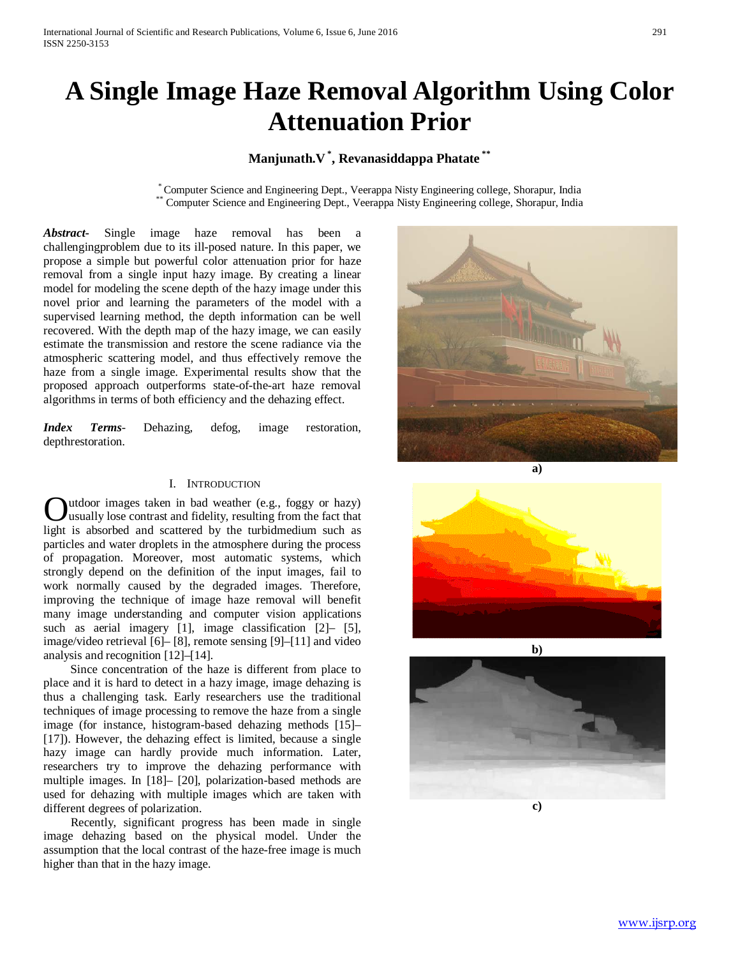# **A Single Image Haze Removal Algorithm Using Color Attenuation Prior**

## **Manjunath.V \* , Revanasiddappa Phatate \*\***

\* Computer Science and Engineering Dept., Veerappa Nisty Engineering college, Shorapur, India \*\* Computer Science and Engineering Dept., Veerappa Nisty Engineering college, Shorapur, India

*Abstract***-** Single image haze removal has been a challengingproblem due to its ill-posed nature. In this paper, we propose a simple but powerful color attenuation prior for haze removal from a single input hazy image. By creating a linear model for modeling the scene depth of the hazy image under this novel prior and learning the parameters of the model with a supervised learning method, the depth information can be well recovered. With the depth map of the hazy image, we can easily estimate the transmission and restore the scene radiance via the atmospheric scattering model, and thus effectively remove the haze from a single image. Experimental results show that the proposed approach outperforms state-of-the-art haze removal algorithms in terms of both efficiency and the dehazing effect.

*Index Terms*- Dehazing, defog, image restoration, depthrestoration.

#### I. INTRODUCTION

utdoor images taken in bad weather (e.g., foggy or hazy) usually lose contrast and fidelity, resulting from the fact that **C**utdoor images taken in bad weather (e.g., foggy or hazy) usually lose contrast and fidelity, resulting from the fact that light is absorbed and scattered by the turbidmedium such as particles and water droplets in the atmosphere during the process of propagation. Moreover, most automatic systems, which strongly depend on the definition of the input images, fail to work normally caused by the degraded images. Therefore, improving the technique of image haze removal will benefit many image understanding and computer vision applications such as aerial imagery [1], image classification [2]– [5], image/video retrieval [6]– [8], remote sensing [9]–[11] and video analysis and recognition [12]–[14].

 Since concentration of the haze is different from place to place and it is hard to detect in a hazy image, image dehazing is thus a challenging task. Early researchers use the traditional techniques of image processing to remove the haze from a single image (for instance, histogram-based dehazing methods [15]– [17]). However, the dehazing effect is limited, because a single hazy image can hardly provide much information. Later, researchers try to improve the dehazing performance with multiple images. In [18]– [20], polarization-based methods are used for dehazing with multiple images which are taken with different degrees of polarization.

 Recently, significant progress has been made in single image dehazing based on the physical model. Under the assumption that the local contrast of the haze-free image is much higher than that in the hazy image.









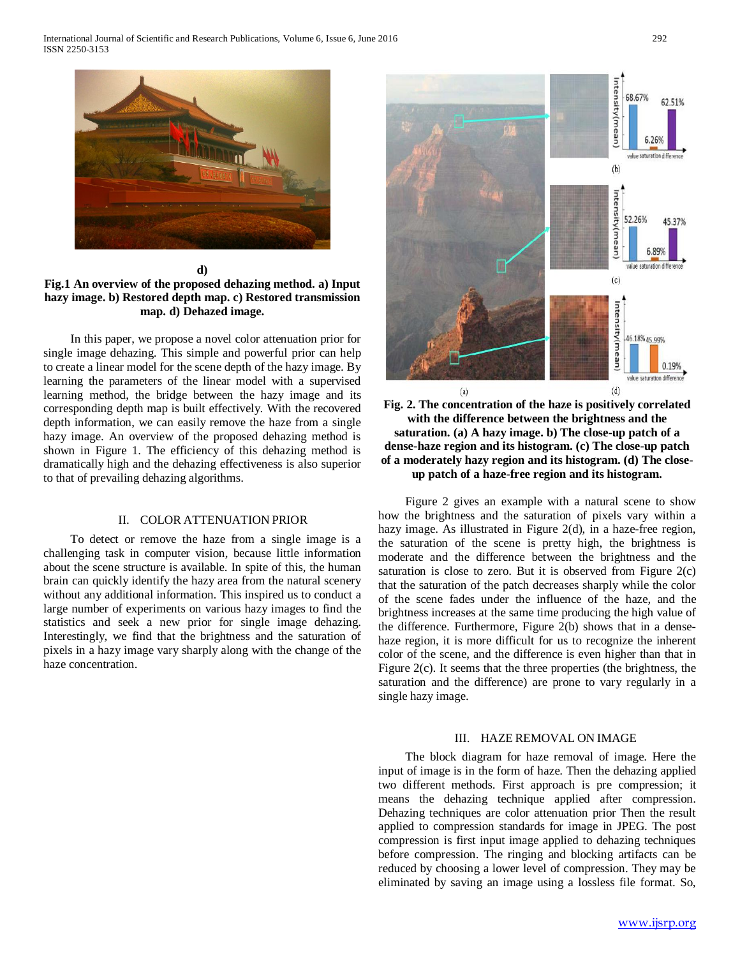

**d)**

**Fig.1 An overview of the proposed dehazing method. a) Input hazy image. b) Restored depth map. c) Restored transmission map. d) Dehazed image.**

 In this paper, we propose a novel color attenuation prior for single image dehazing. This simple and powerful prior can help to create a linear model for the scene depth of the hazy image. By learning the parameters of the linear model with a supervised learning method, the bridge between the hazy image and its corresponding depth map is built effectively. With the recovered depth information, we can easily remove the haze from a single hazy image. An overview of the proposed dehazing method is shown in Figure 1. The efficiency of this dehazing method is dramatically high and the dehazing effectiveness is also superior to that of prevailing dehazing algorithms.

#### II. COLOR ATTENUATION PRIOR

 To detect or remove the haze from a single image is a challenging task in computer vision, because little information about the scene structure is available. In spite of this, the human brain can quickly identify the hazy area from the natural scenery without any additional information. This inspired us to conduct a large number of experiments on various hazy images to find the statistics and seek a new prior for single image dehazing. Interestingly, we find that the brightness and the saturation of pixels in a hazy image vary sharply along with the change of the haze concentration.





 Figure 2 gives an example with a natural scene to show how the brightness and the saturation of pixels vary within a hazy image. As illustrated in Figure 2(d), in a haze-free region, the saturation of the scene is pretty high, the brightness is moderate and the difference between the brightness and the saturation is close to zero. But it is observed from Figure 2(c) that the saturation of the patch decreases sharply while the color of the scene fades under the influence of the haze, and the brightness increases at the same time producing the high value of the difference. Furthermore, Figure 2(b) shows that in a densehaze region, it is more difficult for us to recognize the inherent color of the scene, and the difference is even higher than that in Figure 2(c). It seems that the three properties (the brightness, the saturation and the difference) are prone to vary regularly in a single hazy image.

### III. HAZE REMOVAL ON IMAGE

 The block diagram for haze removal of image. Here the input of image is in the form of haze. Then the dehazing applied two different methods. First approach is pre compression; it means the dehazing technique applied after compression. Dehazing techniques are color attenuation prior Then the result applied to compression standards for image in JPEG. The post compression is first input image applied to dehazing techniques before compression. The ringing and blocking artifacts can be reduced by choosing a lower level of compression. They may be eliminated by saving an image using a lossless file format. So,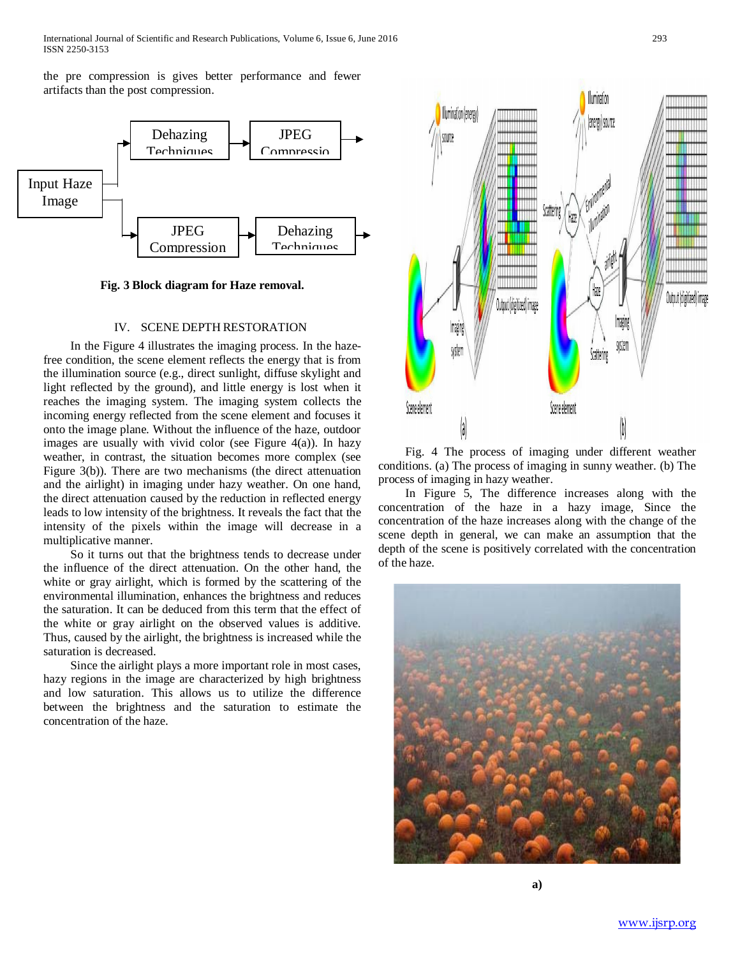International Journal of Scientific and Research Publications, Volume 6, Issue 6, June 2016 293 ISSN 2250-3153

the pre compression is gives better performance and fewer artifacts than the post compression.



**Fig. 3 Block diagram for Haze removal.**

#### IV. SCENE DEPTH RESTORATION

 In the Figure 4 illustrates the imaging process. In the hazefree condition, the scene element reflects the energy that is from the illumination source (e.g., direct sunlight, diffuse skylight and light reflected by the ground), and little energy is lost when it reaches the imaging system. The imaging system collects the incoming energy reflected from the scene element and focuses it onto the image plane. Without the influence of the haze, outdoor images are usually with vivid color (see Figure 4(a)). In hazy weather, in contrast, the situation becomes more complex (see Figure 3(b)). There are two mechanisms (the direct attenuation and the airlight) in imaging under hazy weather. On one hand, the direct attenuation caused by the reduction in reflected energy leads to low intensity of the brightness. It reveals the fact that the intensity of the pixels within the image will decrease in a multiplicative manner.

 So it turns out that the brightness tends to decrease under the influence of the direct attenuation. On the other hand, the white or gray airlight, which is formed by the scattering of the environmental illumination, enhances the brightness and reduces the saturation. It can be deduced from this term that the effect of the white or gray airlight on the observed values is additive. Thus, caused by the airlight, the brightness is increased while the saturation is decreased.

 Since the airlight plays a more important role in most cases, hazy regions in the image are characterized by high brightness and low saturation. This allows us to utilize the difference between the brightness and the saturation to estimate the concentration of the haze.



 Fig. 4 The process of imaging under different weather conditions. (a) The process of imaging in sunny weather. (b) The process of imaging in hazy weather.

 In Figure 5, The difference increases along with the concentration of the haze in a hazy image, Since the concentration of the haze increases along with the change of the scene depth in general, we can make an assumption that the depth of the scene is positively correlated with the concentration of the haze.

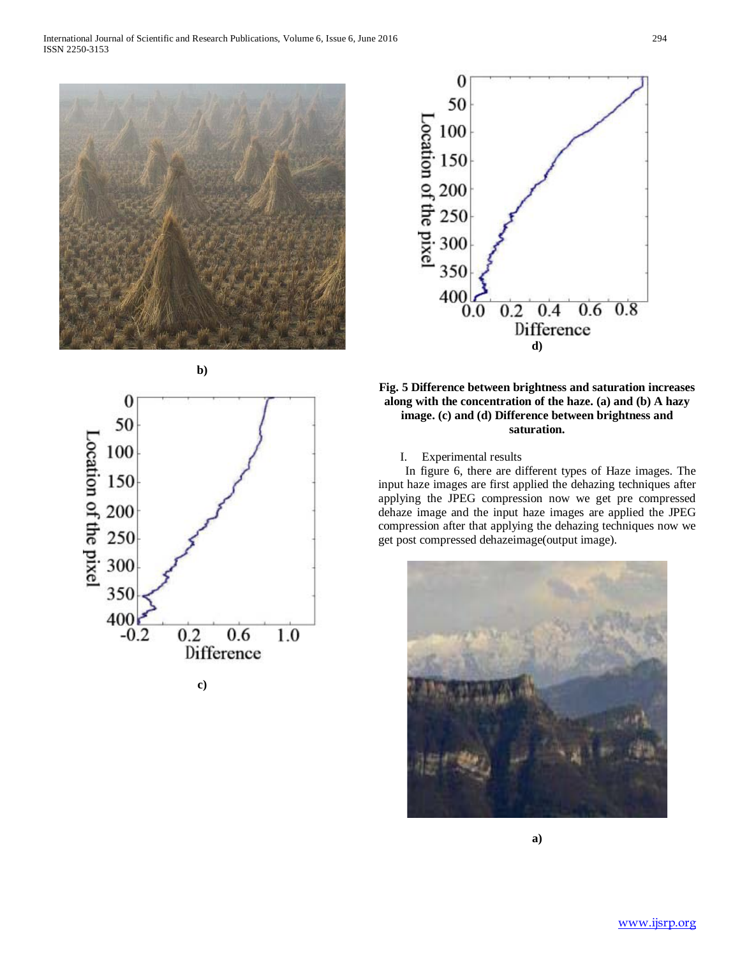



**c)**



## **Fig. 5 Difference between brightness and saturation increases along with the concentration of the haze. (a) and (b) A hazy image. (c) and (d) Difference between brightness and saturation.**

I. Experimental results

 In figure 6, there are different types of Haze images. The input haze images are first applied the dehazing techniques after applying the JPEG compression now we get pre compressed dehaze image and the input haze images are applied the JPEG compression after that applying the dehazing techniques now we get post compressed dehazeimage(output image).



**a)**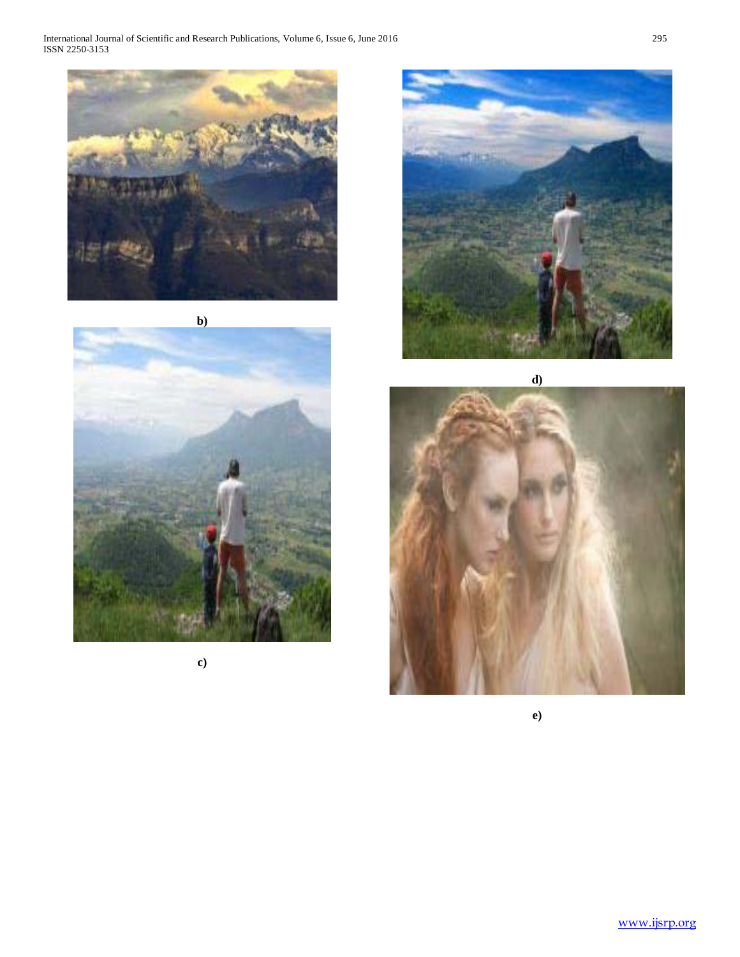International Journal of Scientific and Research Publications, Volume 6, Issue 6, June 2016 295 ISSN 2250-3153





**c)**



**d)**



**e)**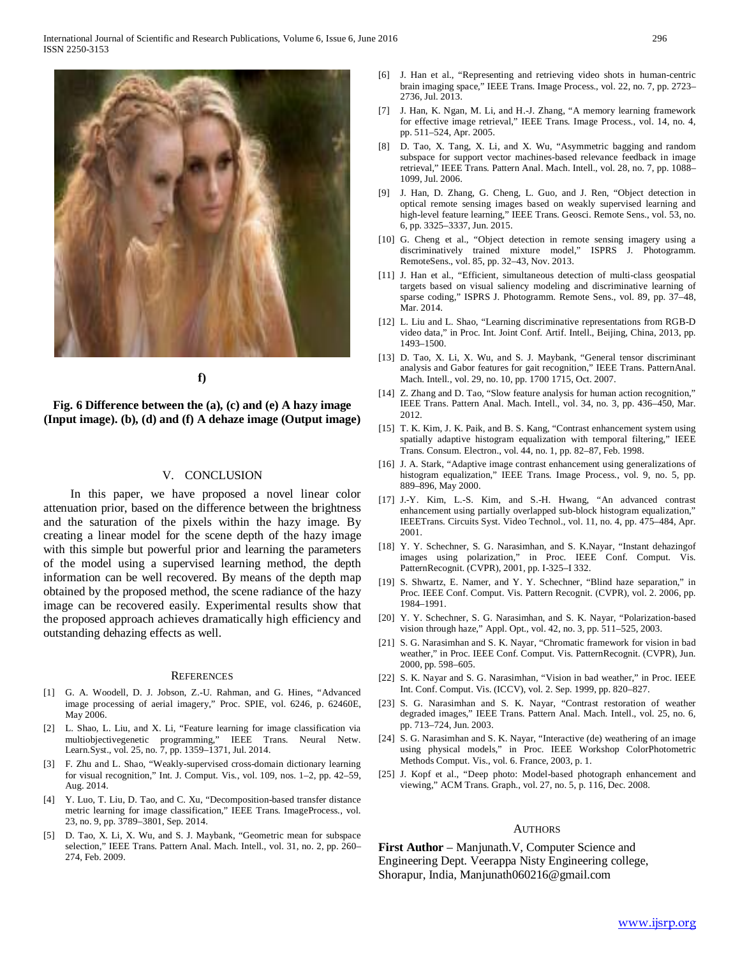

**f)**

**Fig. 6 Difference between the (a), (c) and (e) A hazy image (Input image). (b), (d) and (f) A dehaze image (Output image)**

#### V. CONCLUSION

 In this paper, we have proposed a novel linear color attenuation prior, based on the difference between the brightness and the saturation of the pixels within the hazy image. By creating a linear model for the scene depth of the hazy image with this simple but powerful prior and learning the parameters of the model using a supervised learning method, the depth information can be well recovered. By means of the depth map obtained by the proposed method, the scene radiance of the hazy image can be recovered easily. Experimental results show that the proposed approach achieves dramatically high efficiency and outstanding dehazing effects as well.

#### **REFERENCES**

- [1] G. A. Woodell, D. J. Jobson, Z.-U. Rahman, and G. Hines, "Advanced image processing of aerial imagery," Proc. SPIE, vol. 6246, p. 62460E, May 2006.
- [2] L. Shao, L. Liu, and X. Li, "Feature learning for image classification via multiobjectivegenetic programming," IEEE Trans. Neural Netw. Learn.Syst., vol. 25, no. 7, pp. 1359–1371, Jul. 2014.
- [3] F. Zhu and L. Shao, "Weakly-supervised cross-domain dictionary learning for visual recognition," Int. J. Comput. Vis., vol. 109, nos. 1–2, pp. 42–59, Aug. 2014.
- [4] Y. Luo, T. Liu, D. Tao, and C. Xu, "Decomposition-based transfer distance metric learning for image classification," IEEE Trans. ImageProcess., vol. 23, no. 9, pp. 3789–3801, Sep. 2014.
- [5] D. Tao, X. Li, X. Wu, and S. J. Maybank, "Geometric mean for subspace selection," IEEE Trans. Pattern Anal. Mach. Intell., vol. 31, no. 2, pp. 260– 274, Feb. 2009.
- [6] J. Han et al., "Representing and retrieving video shots in human-centric brain imaging space," IEEE Trans. Image Process., vol. 22, no. 7, pp. 2723– 2736, Jul. 2013.
- [7] J. Han, K. Ngan, M. Li, and H.-J. Zhang, "A memory learning framework for effective image retrieval," IEEE Trans. Image Process., vol. 14, no. 4, pp. 511–524, Apr. 2005.
- [8] D. Tao, X. Tang, X. Li, and X. Wu, "Asymmetric bagging and random subspace for support vector machines-based relevance feedback in image retrieval," IEEE Trans. Pattern Anal. Mach. Intell., vol. 28, no. 7, pp. 1088– 1099, Jul. 2006.
- [9] J. Han, D. Zhang, G. Cheng, L. Guo, and J. Ren, "Object detection in optical remote sensing images based on weakly supervised learning and high-level feature learning," IEEE Trans. Geosci. Remote Sens., vol. 53, no. 6, pp. 3325–3337, Jun. 2015.
- [10] G. Cheng et al., "Object detection in remote sensing imagery using a discriminatively trained mixture model," ISPRS J. Photogramm. RemoteSens., vol. 85, pp. 32–43, Nov. 2013.
- [11] J. Han et al., "Efficient, simultaneous detection of multi-class geospatial targets based on visual saliency modeling and discriminative learning of sparse coding," ISPRS J. Photogramm. Remote Sens., vol. 89, pp. 37–48, Mar. 2014.
- [12] L. Liu and L. Shao, "Learning discriminative representations from RGB-D video data," in Proc. Int. Joint Conf. Artif. Intell., Beijing, China, 2013, pp. 1493–1500.
- [13] D. Tao, X. Li, X. Wu, and S. J. Maybank, "General tensor discriminant analysis and Gabor features for gait recognition," IEEE Trans. PatternAnal. Mach. Intell., vol. 29, no. 10, pp. 1700 1715, Oct. 2007.
- [14] Z. Zhang and D. Tao, "Slow feature analysis for human action recognition," IEEE Trans. Pattern Anal. Mach. Intell., vol. 34, no. 3, pp. 436–450, Mar. 2012.
- [15] T. K. Kim, J. K. Paik, and B. S. Kang, "Contrast enhancement system using spatially adaptive histogram equalization with temporal filtering," IEEE Trans. Consum. Electron., vol. 44, no. 1, pp. 82–87, Feb. 1998.
- [16] J. A. Stark, "Adaptive image contrast enhancement using generalizations of histogram equalization," IEEE Trans. Image Process., vol. 9, no. 5, pp. 889–896, May 2000.
- [17] J.-Y. Kim, L.-S. Kim, and S.-H. Hwang, "An advanced contrast enhancement using partially overlapped sub-block histogram equalization," IEEETrans. Circuits Syst. Video Technol., vol. 11, no. 4, pp. 475–484, Apr. 2001.
- [18] Y. Y. Schechner, S. G. Narasimhan, and S. K.Nayar, "Instant dehazingof images using polarization," in Proc. IEEE Conf. Comput. Vis. PatternRecognit. (CVPR), 2001, pp. I-325–I 332.
- [19] S. Shwartz, E. Namer, and Y. Y. Schechner, "Blind haze separation," in Proc. IEEE Conf. Comput. Vis. Pattern Recognit. (CVPR), vol. 2. 2006, pp. 1984–1991.
- [20] Y. Y. Schechner, S. G. Narasimhan, and S. K. Nayar, "Polarization-based vision through haze," Appl. Opt., vol. 42, no. 3, pp. 511–525, 2003.
- [21] S. G. Narasimhan and S. K. Nayar, "Chromatic framework for vision in bad weather," in Proc. IEEE Conf. Comput. Vis. PatternRecognit. (CVPR), Jun. 2000, pp. 598–605.
- [22] S. K. Nayar and S. G. Narasimhan, "Vision in bad weather," in Proc. IEEE Int. Conf. Comput. Vis. (ICCV), vol. 2. Sep. 1999, pp. 820–827.
- [23] S. G. Narasimhan and S. K. Nayar, "Contrast restoration of weather degraded images," IEEE Trans. Pattern Anal. Mach. Intell., vol. 25, no. 6, pp. 713–724, Jun. 2003.
- [24] S. G. Narasimhan and S. K. Nayar, "Interactive (de) weathering of an image using physical models," in Proc. IEEE Workshop ColorPhotometric Methods Comput. Vis., vol. 6. France, 2003, p. 1.
- [25] J. Kopf et al., "Deep photo: Model-based photograph enhancement and viewing," ACM Trans. Graph., vol. 27, no. 5, p. 116, Dec. 2008.

#### AUTHORS

**First Author** – Manjunath.V, Computer Science and Engineering Dept. Veerappa Nisty Engineering college, Shorapur, India, Manjunath060216@gmail.com